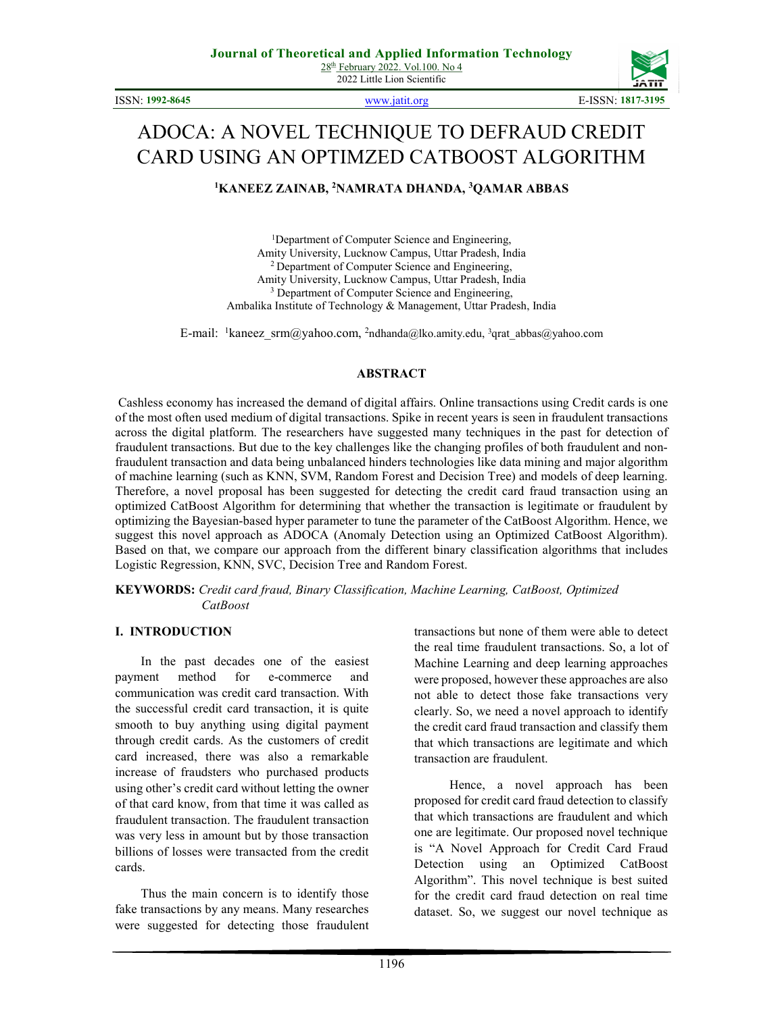ISSN: 1992-8645 www.jatit.org E-ISSN: 1817-3195



# ADOCA: A NOVEL TECHNIQUE TO DEFRAUD CREDIT CARD USING AN OPTIMZED CATBOOST ALGORITHM

<sup>1</sup>KANEEZ ZAINAB, <sup>2</sup>NAMRATA DHANDA, <sup>3</sup>QAMAR ABBAS

<sup>1</sup>Department of Computer Science and Engineering, Amity University, Lucknow Campus, Uttar Pradesh, India <sup>2</sup> Department of Computer Science and Engineering, Amity University, Lucknow Campus, Uttar Pradesh, India <sup>3</sup> Department of Computer Science and Engineering, Ambalika Institute of Technology & Management, Uttar Pradesh, India

E-mail: <sup>1</sup>kaneez\_srm@yahoo.com, <sup>2</sup>ndhanda@lko.amity.edu, <sup>3</sup>qrat\_abbas@yahoo.com

#### ABSTRACT

Cashless economy has increased the demand of digital affairs. Online transactions using Credit cards is one of the most often used medium of digital transactions. Spike in recent years is seen in fraudulent transactions across the digital platform. The researchers have suggested many techniques in the past for detection of fraudulent transactions. But due to the key challenges like the changing profiles of both fraudulent and nonfraudulent transaction and data being unbalanced hinders technologies like data mining and major algorithm of machine learning (such as KNN, SVM, Random Forest and Decision Tree) and models of deep learning. Therefore, a novel proposal has been suggested for detecting the credit card fraud transaction using an optimized CatBoost Algorithm for determining that whether the transaction is legitimate or fraudulent by optimizing the Bayesian-based hyper parameter to tune the parameter of the CatBoost Algorithm. Hence, we suggest this novel approach as ADOCA (Anomaly Detection using an Optimized CatBoost Algorithm). Based on that, we compare our approach from the different binary classification algorithms that includes Logistic Regression, KNN, SVC, Decision Tree and Random Forest.

KEYWORDS: Credit card fraud, Binary Classification, Machine Learning, CatBoost, Optimized **CatBoost** 

#### I. INTRODUCTION

 In the past decades one of the easiest payment method for e-commerce and communication was credit card transaction. With the successful credit card transaction, it is quite smooth to buy anything using digital payment through credit cards. As the customers of credit card increased, there was also a remarkable increase of fraudsters who purchased products using other's credit card without letting the owner of that card know, from that time it was called as fraudulent transaction. The fraudulent transaction was very less in amount but by those transaction billions of losses were transacted from the credit cards.

 Thus the main concern is to identify those fake transactions by any means. Many researches were suggested for detecting those fraudulent

transactions but none of them were able to detect the real time fraudulent transactions. So, a lot of Machine Learning and deep learning approaches were proposed, however these approaches are also not able to detect those fake transactions very clearly. So, we need a novel approach to identify the credit card fraud transaction and classify them that which transactions are legitimate and which transaction are fraudulent.

 Hence, a novel approach has been proposed for credit card fraud detection to classify that which transactions are fraudulent and which one are legitimate. Our proposed novel technique is "A Novel Approach for Credit Card Fraud Detection using an Optimized CatBoost Algorithm". This novel technique is best suited for the credit card fraud detection on real time dataset. So, we suggest our novel technique as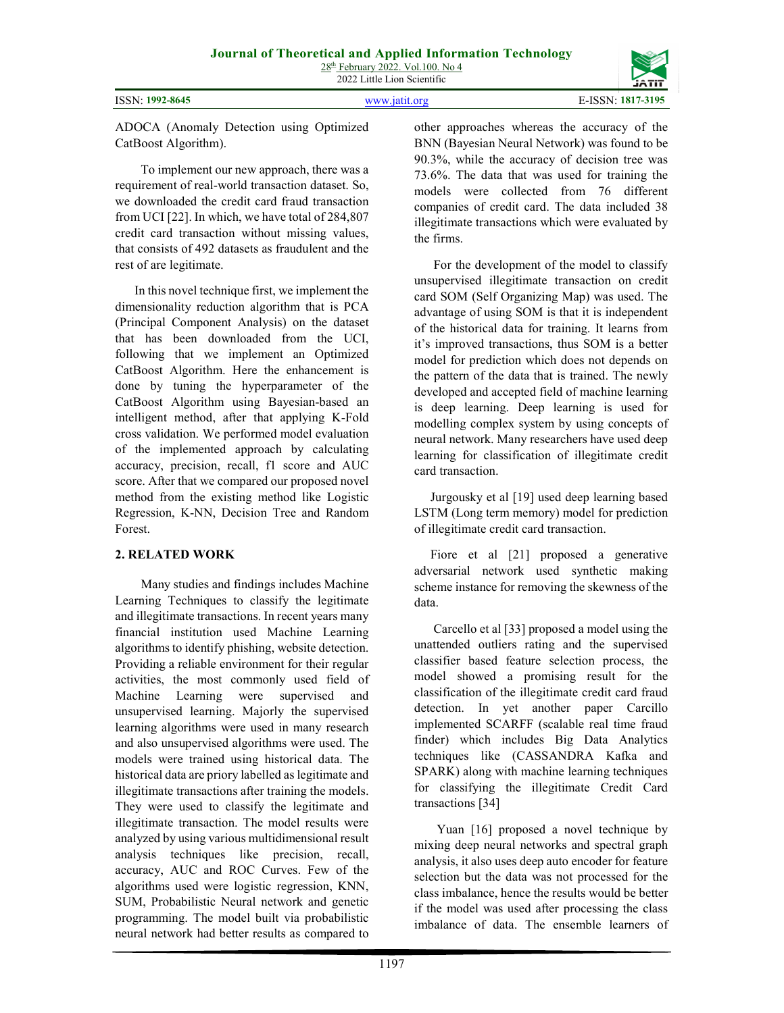1197

other approaches whereas the accuracy of the BNN (Bayesian Neural Network) was found to be 90.3%, while the accuracy of decision tree was 73.6%. The data that was used for training the models were collected from 76 different companies of credit card. The data included 38 illegitimate transactions which were evaluated by the firms.

 For the development of the model to classify unsupervised illegitimate transaction on credit card SOM (Self Organizing Map) was used. The advantage of using SOM is that it is independent of the historical data for training. It learns from it's improved transactions, thus SOM is a better model for prediction which does not depends on the pattern of the data that is trained. The newly developed and accepted field of machine learning is deep learning. Deep learning is used for modelling complex system by using concepts of neural network. Many researchers have used deep learning for classification of illegitimate credit card transaction.

 Jurgousky et al [19] used deep learning based LSTM (Long term memory) model for prediction of illegitimate credit card transaction.

 Fiore et al [21] proposed a generative adversarial network used synthetic making scheme instance for removing the skewness of the data.

 Carcello et al [33] proposed a model using the unattended outliers rating and the supervised classifier based feature selection process, the model showed a promising result for the classification of the illegitimate credit card fraud detection. In yet another paper Carcillo implemented SCARFF (scalable real time fraud finder) which includes Big Data Analytics techniques like (CASSANDRA Kafka and SPARK) along with machine learning techniques for classifying the illegitimate Credit Card transactions [34]

 Yuan [16] proposed a novel technique by mixing deep neural networks and spectral graph analysis, it also uses deep auto encoder for feature selection but the data was not processed for the class imbalance, hence the results would be better if the model was used after processing the class imbalance of data. The ensemble learners of

# ADOCA (Anomaly Detection using Optimized CatBoost Algorithm).

 To implement our new approach, there was a requirement of real-world transaction dataset. So, we downloaded the credit card fraud transaction from UCI [22]. In which, we have total of 284,807 credit card transaction without missing values, that consists of 492 datasets as fraudulent and the rest of are legitimate.

 In this novel technique first, we implement the dimensionality reduction algorithm that is PCA (Principal Component Analysis) on the dataset that has been downloaded from the UCI, following that we implement an Optimized CatBoost Algorithm. Here the enhancement is done by tuning the hyperparameter of the CatBoost Algorithm using Bayesian-based an intelligent method, after that applying K-Fold cross validation. We performed model evaluation of the implemented approach by calculating accuracy, precision, recall, f1 score and AUC score. After that we compared our proposed novel method from the existing method like Logistic Regression, K-NN, Decision Tree and Random Forest.

# 2. RELATED WORK

 Many studies and findings includes Machine Learning Techniques to classify the legitimate and illegitimate transactions. In recent years many financial institution used Machine Learning algorithms to identify phishing, website detection. Providing a reliable environment for their regular activities, the most commonly used field of Machine Learning were supervised and unsupervised learning. Majorly the supervised learning algorithms were used in many research and also unsupervised algorithms were used. The models were trained using historical data. The historical data are priory labelled as legitimate and illegitimate transactions after training the models. They were used to classify the legitimate and illegitimate transaction. The model results were analyzed by using various multidimensional result analysis techniques like precision, recall, accuracy, AUC and ROC Curves. Few of the algorithms used were logistic regression, KNN, SUM, Probabilistic Neural network and genetic programming. The model built via probabilistic neural network had better results as compared to

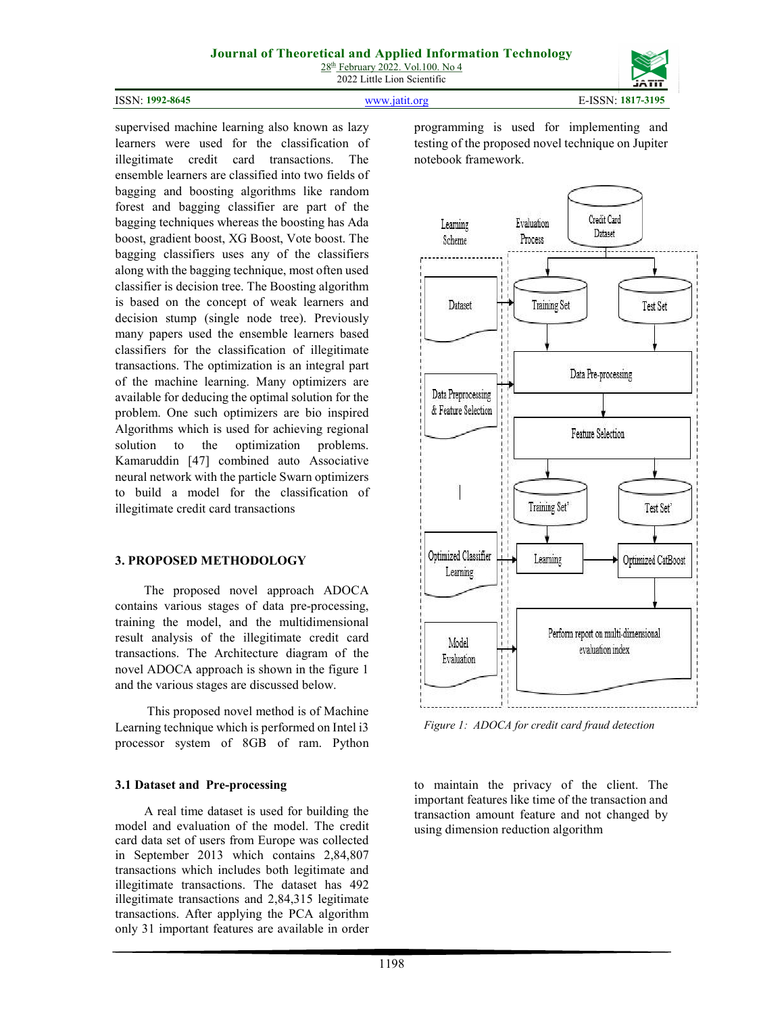# Journal of Theoretical and Applied Information Technology

 $28<sup>th</sup>$  February 2022. Vol.100. No 4 2022 Little Lion Scientific



supervised machine learning also known as lazy learners were used for the classification of illegitimate credit card transactions. The ensemble learners are classified into two fields of bagging and boosting algorithms like random forest and bagging classifier are part of the bagging techniques whereas the boosting has Ada boost, gradient boost, XG Boost, Vote boost. The bagging classifiers uses any of the classifiers along with the bagging technique, most often used classifier is decision tree. The Boosting algorithm is based on the concept of weak learners and decision stump (single node tree). Previously many papers used the ensemble learners based classifiers for the classification of illegitimate transactions. The optimization is an integral part of the machine learning. Many optimizers are available for deducing the optimal solution for the problem. One such optimizers are bio inspired Algorithms which is used for achieving regional solution to the optimization problems. Kamaruddin [47] combined auto Associative neural network with the particle Swarn optimizers to build a model for the classification of



Figure 1: ADOCA for credit card fraud detection

to maintain the privacy of the client. The important features like time of the transaction and transaction amount feature and not changed by using dimension reduction algorithm

programming is used for implementing and testing of the proposed novel technique on Jupiter notebook framework.

#### 3. PROPOSED METHODOLOGY

illegitimate credit card transactions

 The proposed novel approach ADOCA contains various stages of data pre-processing, training the model, and the multidimensional result analysis of the illegitimate credit card transactions. The Architecture diagram of the novel ADOCA approach is shown in the figure 1 and the various stages are discussed below.

 This proposed novel method is of Machine Learning technique which is performed on Intel i3 processor system of 8GB of ram. Python

#### 3.1 Dataset and Pre-processing

 A real time dataset is used for building the model and evaluation of the model. The credit card data set of users from Europe was collected in September 2013 which contains 2,84,807 transactions which includes both legitimate and illegitimate transactions. The dataset has 492 illegitimate transactions and 2,84,315 legitimate transactions. After applying the PCA algorithm only 31 important features are available in order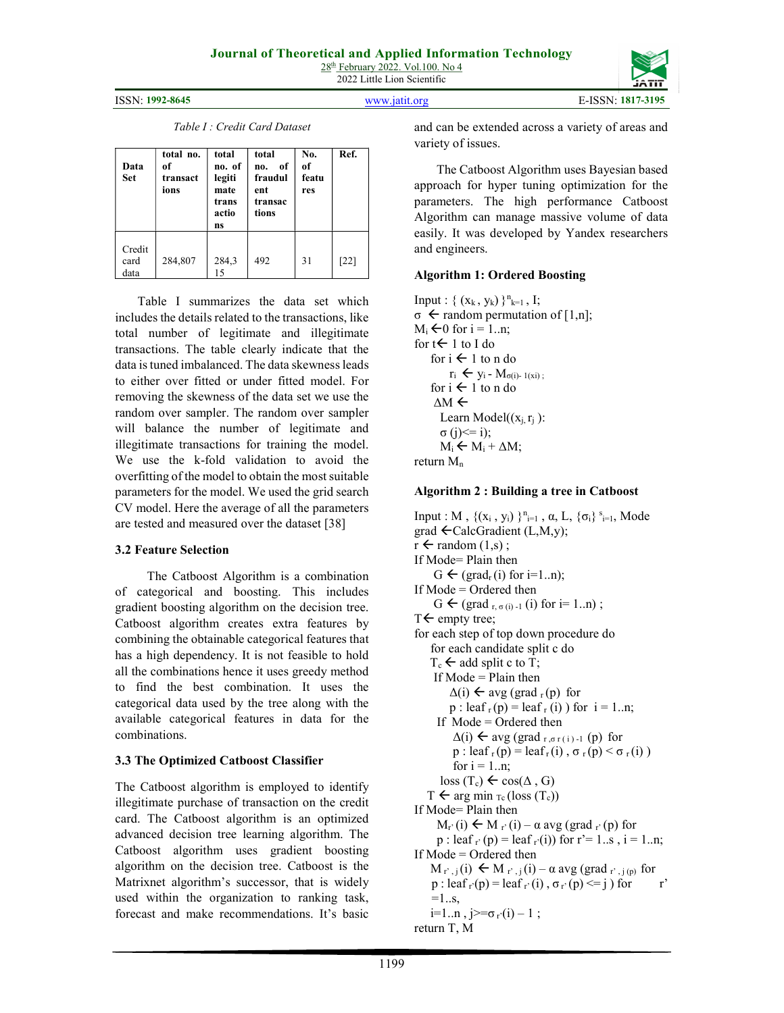2022 Little Lion Scientific

ISSN: 1992-8645 www.jatit.org E-ISSN: 1817-3195

Table I : Credit Card Dataset

| Data<br>Set            | total no.<br>of<br>transact<br>ions | total<br>no. of<br>legiti<br>mate<br>trans<br>actio<br>ns | total<br>of<br>no.<br>fraudul<br>ent<br>transac<br>tions | No.<br>of<br>featu<br>res | Ref.   |
|------------------------|-------------------------------------|-----------------------------------------------------------|----------------------------------------------------------|---------------------------|--------|
| Credit<br>card<br>data | 284,807                             | 284,3<br>15                                               | 492                                                      | 31                        | $[22]$ |

 Table I summarizes the data set which includes the details related to the transactions, like total number of legitimate and illegitimate transactions. The table clearly indicate that the data is tuned imbalanced. The data skewness leads to either over fitted or under fitted model. For removing the skewness of the data set we use the random over sampler. The random over sampler will balance the number of legitimate and illegitimate transactions for training the model. We use the k-fold validation to avoid the overfitting of the model to obtain the most suitable parameters for the model. We used the grid search CV model. Here the average of all the parameters are tested and measured over the dataset [38]

#### 3.2 Feature Selection

 The Catboost Algorithm is a combination of categorical and boosting. This includes gradient boosting algorithm on the decision tree. Catboost algorithm creates extra features by combining the obtainable categorical features that has a high dependency. It is not feasible to hold all the combinations hence it uses greedy method to find the best combination. It uses the categorical data used by the tree along with the available categorical features in data for the combinations.

# 3.3 The Optimized Catboost Classifier

The Catboost algorithm is employed to identify illegitimate purchase of transaction on the credit card. The Catboost algorithm is an optimized advanced decision tree learning algorithm. The Catboost algorithm uses gradient boosting algorithm on the decision tree. Catboost is the Matrixnet algorithm's successor, that is widely used within the organization to ranking task, forecast and make recommendations. It's basic

and can be extended across a variety of areas and variety of issues.

 The Catboost Algorithm uses Bayesian based approach for hyper tuning optimization for the parameters. The high performance Catboost Algorithm can manage massive volume of data easily. It was developed by Yandex researchers and engineers.

# Algorithm 1: Ordered Boosting

```
Input : \{ (x_k, y_k) \}^{n_{k=1}}, I;
\sigma \leftarrow random permutation of [1,n];
M_i \bigoplus for i = 1..n;
for t \leftarrow 1 to I do
     for i \leftarrow 1 to n do
          r_i \leftarrow y_i - M_{\sigma(i)-1(x_i)};
     for i \leftarrow 1 to n do
      ΔM 
       Learn Model((x_i, r_i)):
       σ (i) \leq i);M_i \leftarrow M_i + \Delta M;return M_n
```
## Algorithm 2 : Building a tree in Catboost

Input : M,  $\{(x_i, y_i)\}_{i=1}^n$ ,  $\alpha$ , L,  $\{\sigma_i\}_{i=1}^s$ , Mode  $grad \leftarrow$ CalcGradient (L,M,y);  $r \leftarrow$  random  $(1,s)$ ; If Mode= Plain then  $G \leftarrow (\text{grad}_{r}(i) \text{ for } i=1..n);$ If Mode = Ordered then  $G \leftarrow (\text{grad}_{r, \sigma(i)-1} (i) \text{ for } i=1..n)$ ;  $T \leftarrow$  empty tree; for each step of top down procedure do for each candidate split c do  $T_c \leftarrow$  add split c to T; If Mode  $=$  Plain then  $\Delta(i) \leftarrow \text{avg} (\text{grad}_r(p))$  for  $p : leaf<sub>r</sub>(p) = leaf<sub>r</sub>(i)$  for  $i = 1..n;$  If Mode = Ordered then  $\Delta(i) \leftarrow \text{avg} (\text{grad }_{r, \sigma r(i)-1} (p) \text{ for }$ p : leaf  $r(p) =$ leaf $r(i)$ ,  $\sigma$  $r(p) < \sigma$  $r(i)$ ) for  $i = 1 \dots n$ ;  $\text{loss}(T_c) \leftarrow \text{cos}(\Delta, G)$  $T \leftarrow \arg \min_{T_c} (\text{loss } (T_c))$ If Mode= Plain then  $M_{r'}(i) \leftarrow M_{r'}(i) - \alpha \text{ avg } (grad_{r'}(p) \text{ for }$ p : leaf  $r'$  (p) = leaf  $r'$ (i)) for  $r'$  = 1..s,  $i = 1..n$ ; If Mode = Ordered then  $M_{r',j}(i) \leftarrow M_{r',j}(i) - \alpha \text{ avg} (\text{grad }_{r',j(p)})$  for  $p : leaf_{r}(p) = leaf_{r}(i), \sigma_{r}(p) \leq i$  for r'  $=1...s$  $i=1..n$ ,  $j>=\sigma_{r}(i)-1;$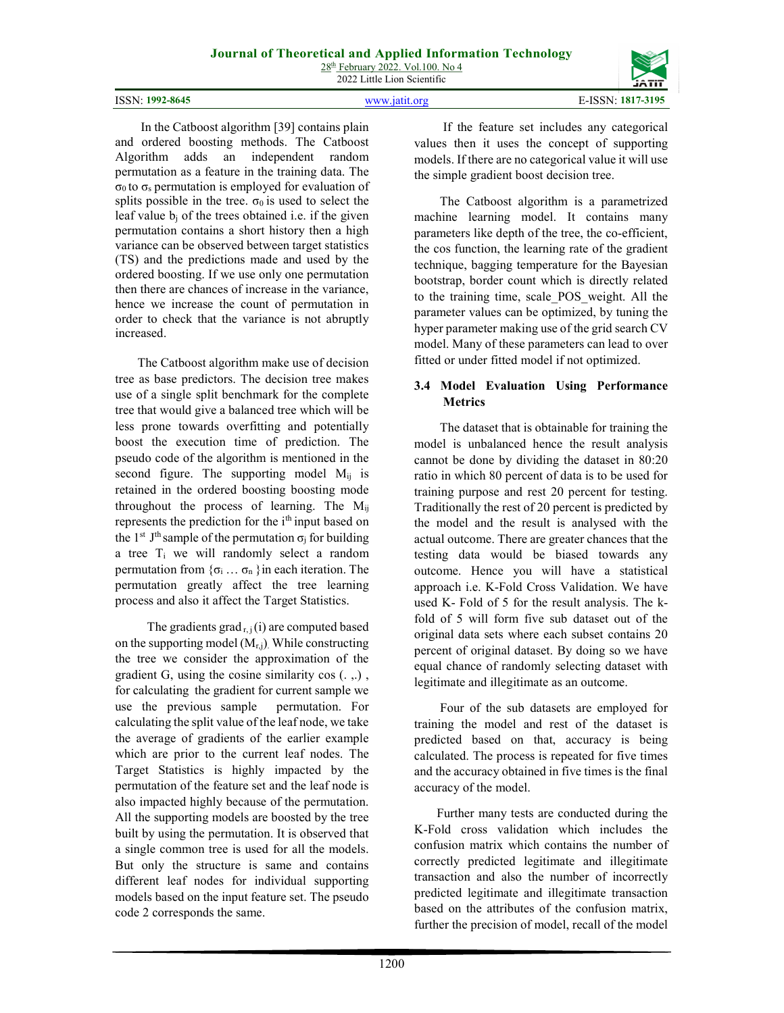ISSN: 1992-8645 www.jatit.org E-ISSN: 1817-3195

 In the Catboost algorithm [39] contains plain and ordered boosting methods. The Catboost Algorithm adds an independent random permutation as a feature in the training data. The  $\sigma_0$  to  $\sigma_s$  permutation is employed for evaluation of splits possible in the tree.  $\sigma_0$  is used to select the leaf value  $b_i$  of the trees obtained i.e. if the given permutation contains a short history then a high variance can be observed between target statistics (TS) and the predictions made and used by the ordered boosting. If we use only one permutation then there are chances of increase in the variance, hence we increase the count of permutation in order to check that the variance is not abruptly increased.

 The Catboost algorithm make use of decision tree as base predictors. The decision tree makes use of a single split benchmark for the complete tree that would give a balanced tree which will be less prone towards overfitting and potentially boost the execution time of prediction. The pseudo code of the algorithm is mentioned in the second figure. The supporting model  $M_{ij}$  is retained in the ordered boosting boosting mode throughout the process of learning. The  $M_{ii}$ represents the prediction for the i<sup>th</sup> input based on the 1<sup>st</sup> J<sup>th</sup> sample of the permutation  $\sigma_i$  for building a tree Ti we will randomly select a random permutation from  $\{\sigma_i \dots \sigma_n\}$  in each iteration. The permutation greatly affect the tree learning process and also it affect the Target Statistics.

The gradients grad  $r_{i,j}(i)$  are computed based on the supporting model  $(M_{r,i})$ . While constructing the tree we consider the approximation of the gradient G, using the cosine similarity cos (. ,.) , for calculating the gradient for current sample we use the previous sample permutation. For calculating the split value of the leaf node, we take the average of gradients of the earlier example which are prior to the current leaf nodes. The Target Statistics is highly impacted by the permutation of the feature set and the leaf node is also impacted highly because of the permutation. All the supporting models are boosted by the tree built by using the permutation. It is observed that a single common tree is used for all the models. But only the structure is same and contains different leaf nodes for individual supporting models based on the input feature set. The pseudo code 2 corresponds the same.

 If the feature set includes any categorical values then it uses the concept of supporting models. If there are no categorical value it will use the simple gradient boost decision tree.

 The Catboost algorithm is a parametrized machine learning model. It contains many parameters like depth of the tree, the co-efficient, the cos function, the learning rate of the gradient technique, bagging temperature for the Bayesian bootstrap, border count which is directly related to the training time, scale\_POS\_weight. All the parameter values can be optimized, by tuning the hyper parameter making use of the grid search CV model. Many of these parameters can lead to over fitted or under fitted model if not optimized.

# 3.4 Model Evaluation Using Performance **Metrics**

 The dataset that is obtainable for training the model is unbalanced hence the result analysis cannot be done by dividing the dataset in 80:20 ratio in which 80 percent of data is to be used for training purpose and rest 20 percent for testing. Traditionally the rest of 20 percent is predicted by the model and the result is analysed with the actual outcome. There are greater chances that the testing data would be biased towards any outcome. Hence you will have a statistical approach i.e. K-Fold Cross Validation. We have used K- Fold of 5 for the result analysis. The kfold of 5 will form five sub dataset out of the original data sets where each subset contains 20 percent of original dataset. By doing so we have equal chance of randomly selecting dataset with legitimate and illegitimate as an outcome.

 Four of the sub datasets are employed for training the model and rest of the dataset is predicted based on that, accuracy is being calculated. The process is repeated for five times and the accuracy obtained in five times is the final accuracy of the model.

 Further many tests are conducted during the K-Fold cross validation which includes the confusion matrix which contains the number of correctly predicted legitimate and illegitimate transaction and also the number of incorrectly predicted legitimate and illegitimate transaction based on the attributes of the confusion matrix, further the precision of model, recall of the model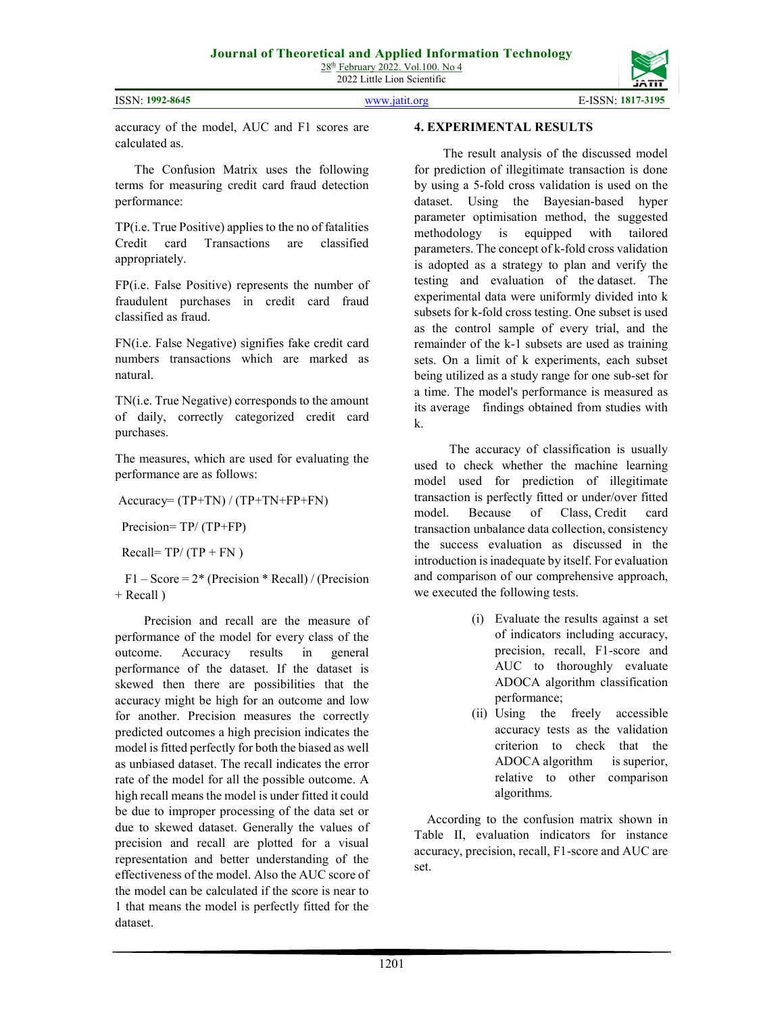ISSN: 1992-8645 www.jatit.org E-ISSN: 1817-3195



accuracy of the model, AUC and F1 scores are calculated as.

 The Confusion Matrix uses the following terms for measuring credit card fraud detection performance:

TP(i.e. True Positive) applies to the no of fatalities Credit card Transactions are classified appropriately.

FP(i.e. False Positive) represents the number of fraudulent purchases in credit card fraud classified as fraud.

FN(i.e. False Negative) signifies fake credit card numbers transactions which are marked as natural.

TN(i.e. True Negative) corresponds to the amount of daily, correctly categorized credit card purchases.

The measures, which are used for evaluating the performance are as follows:

Accuracy= (TP+TN) / (TP+TN+FP+FN)

Precision= TP/ (TP+FP)

Recall=  $TP/(TP + FN)$ 

 $F1 - Score = 2*(Precision * Recall) / (Precision)$  $+$  Recall  $)$ 

 Precision and recall are the measure of performance of the model for every class of the outcome. Accuracy results in general performance of the dataset. If the dataset is skewed then there are possibilities that the accuracy might be high for an outcome and low for another. Precision measures the correctly predicted outcomes a high precision indicates the model is fitted perfectly for both the biased as well as unbiased dataset. The recall indicates the error rate of the model for all the possible outcome. A high recall means the model is under fitted it could be due to improper processing of the data set or due to skewed dataset. Generally the values of precision and recall are plotted for a visual representation and better understanding of the effectiveness of the model. Also the AUC score of the model can be calculated if the score is near to 1 that means the model is perfectly fitted for the dataset.

### 4. EXPERIMENTAL RESULTS

 The result analysis of the discussed model for prediction of illegitimate transaction is done by using a 5-fold cross validation is used on the dataset. Using the Bayesian-based hyper parameter optimisation method, the suggested methodology is equipped with tailored parameters. The concept of k-fold cross validation is adopted as a strategy to plan and verify the testing and evaluation of the dataset. The experimental data were uniformly divided into k subsets for k-fold cross testing. One subset is used as the control sample of every trial, and the remainder of the k-1 subsets are used as training sets. On a limit of k experiments, each subset being utilized as a study range for one sub-set for a time. The model's performance is measured as its average findings obtained from studies with k.

 The accuracy of classification is usually used to check whether the machine learning model used for prediction of illegitimate transaction is perfectly fitted or under/over fitted model. Because of Class, Credit card transaction unbalance data collection, consistency the success evaluation as discussed in the introduction is inadequate by itself. For evaluation and comparison of our comprehensive approach, we executed the following tests.

- (i) Evaluate the results against a set of indicators including accuracy, precision, recall, F1-score and AUC to thoroughly evaluate ADOCA algorithm classification performance;
- (ii) Using the freely accessible accuracy tests as the validation criterion to check that the ADOCA algorithm is superior, relative to other comparison algorithms.

 According to the confusion matrix shown in Table II, evaluation indicators for instance accuracy, precision, recall, F1-score and AUC are set.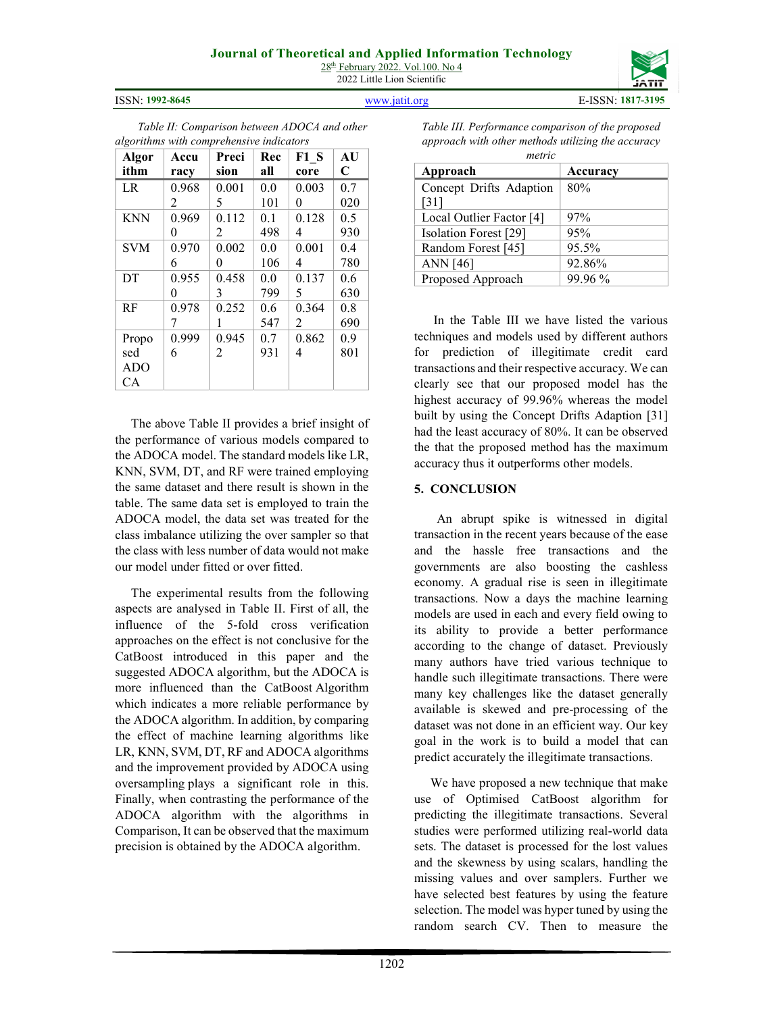# Journal of Theoretical and Applied Information Technology

28<sup>th</sup> February 2022. Vol.100. No 4 2022 Little Lion Scientific

Propo sed ADO CA

0.999 6

0.945 2

ISSN: 1992-8645 www.jatit.org E-ISSN: 1817-3195



1202

Table III. Performance comparison of the proposed approach with other methods utilizing the accuracy

| Algor      | Accu  | Preci | Rec | F1S   | AU          |
|------------|-------|-------|-----|-------|-------------|
| ithm       | racy  | sion  | all | core  | $\mathbf C$ |
| <b>LR</b>  | 0.968 | 0.001 | 0.0 | 0.003 | 0.7         |
|            | 2     | 5     | 101 | 0     | 020         |
| <b>KNN</b> | 0.969 | 0.112 | 0.1 | 0.128 | 0.5         |
|            | 0     | 2     | 498 |       | 930         |
| <b>SVM</b> | 0.970 | 0.002 | 0.0 | 0.001 | 0.4         |
|            | 6     | 0     | 106 | 4     | 780         |
| DT         | 0.955 | 0.458 | 0.0 | 0.137 | 0.6         |
|            | 0     | 3     | 799 | 5     | 630         |
| RF         | 0.978 | 0.252 | 0.6 | 0.364 | 0.8         |
|            |       |       | 547 | 2     | 690         |

0.7 931 0.862 4

0.9 801

Table II: Comparison between ADOCA and other

algorithms with comprehensive indicators

 The above Table II provides a brief insight of the performance of various models compared to the ADOCA model. The standard models like LR, KNN, SVM, DT, and RF were trained employing the same dataset and there result is shown in the table. The same data set is employed to train the ADOCA model, the data set was treated for the class imbalance utilizing the over sampler so that the class with less number of data would not make our model under fitted or over fitted.

 The experimental results from the following aspects are analysed in Table II. First of all, the influence of the 5-fold cross verification approaches on the effect is not conclusive for the CatBoost introduced in this paper and the suggested ADOCA algorithm, but the ADOCA is more influenced than the CatBoost Algorithm which indicates a more reliable performance by the ADOCA algorithm. In addition, by comparing the effect of machine learning algorithms like LR, KNN, SVM, DT, RF and ADOCA algorithms and the improvement provided by ADOCA using oversampling plays a significant role in this. Finally, when contrasting the performance of the ADOCA algorithm with the algorithms in Comparison, It can be observed that the maximum precision is obtained by the ADOCA algorithm.

 In the Table III we have listed the various techniques and models used by different authors for prediction of illegitimate credit card transactions and their respective accuracy. We can clearly see that our proposed model has the highest accuracy of 99.96% whereas the model built by using the Concept Drifts Adaption [31] had the least accuracy of 80%. It can be observed the that the proposed method has the maximum accuracy thus it outperforms other models.

#### 5. CONCLUSION

 An abrupt spike is witnessed in digital transaction in the recent years because of the ease and the hassle free transactions and the governments are also boosting the cashless economy. A gradual rise is seen in illegitimate transactions. Now a days the machine learning models are used in each and every field owing to its ability to provide a better performance according to the change of dataset. Previously many authors have tried various technique to handle such illegitimate transactions. There were many key challenges like the dataset generally available is skewed and pre-processing of the dataset was not done in an efficient way. Our key goal in the work is to build a model that can predict accurately the illegitimate transactions.

 We have proposed a new technique that make use of Optimised CatBoost algorithm for predicting the illegitimate transactions. Several studies were performed utilizing real-world data sets. The dataset is processed for the lost values and the skewness by using scalars, handling the missing values and over samplers. Further we have selected best features by using the feature selection. The model was hyper tuned by using the random search CV. Then to measure the

metric

80%

Approach Accuracy

Local Outlier Factor [4]  $97%$ Isolation Forest [29] 95% Random Forest [45] 95.5% ANN [46] 92.86% Proposed Approach 99.96 %

Concept Drifts Adaption

[31]

| ---         |
|-------------|
| <b>JAII</b> |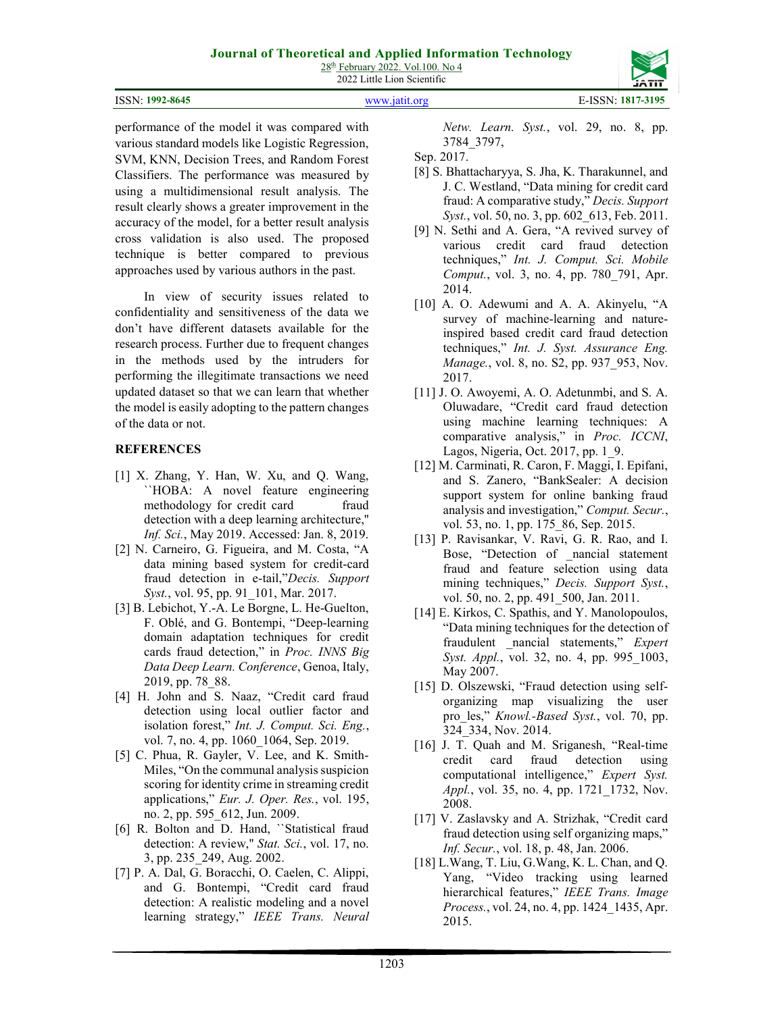|  | <b>ISSN: 1992-8645</b> |
|--|------------------------|
|--|------------------------|

www.jatit.org E-ISSN: 1817-3195

performance of the model it was compared with various standard models like Logistic Regression, SVM, KNN, Decision Trees, and Random Forest Classifiers. The performance was measured by using a multidimensional result analysis. The result clearly shows a greater improvement in the accuracy of the model, for a better result analysis cross validation is also used. The proposed technique is better compared to previous approaches used by various authors in the past.

 In view of security issues related to confidentiality and sensitiveness of the data we don't have different datasets available for the research process. Further due to frequent changes in the methods used by the intruders for performing the illegitimate transactions we need updated dataset so that we can learn that whether the model is easily adopting to the pattern changes of the data or not.

# **REFERENCES**

- [1] X. Zhang, Y. Han, W. Xu, and Q. Wang, ``HOBA: A novel feature engineering methodology for credit card fraud detection with a deep learning architecture,'' Inf. Sci., May 2019. Accessed: Jan. 8, 2019.
- [2] N. Carneiro, G. Figueira, and M. Costa, "A data mining based system for credit-card fraud detection in e-tail,"Decis. Support Syst., vol. 95, pp. 91 101, Mar. 2017.
- [3] B. Lebichot, Y.-A. Le Borgne, L. He-Guelton, F. Oblé, and G. Bontempi, "Deep-learning domain adaptation techniques for credit cards fraud detection," in Proc. INNS Big Data Deep Learn. Conference, Genoa, Italy, 2019, pp. 78\_88.
- [4] H. John and S. Naaz, "Credit card fraud detection using local outlier factor and isolation forest," Int. J. Comput. Sci. Eng., vol. 7, no. 4, pp. 1060 1064, Sep. 2019.
- [5] C. Phua, R. Gayler, V. Lee, and K. Smith-Miles, "On the communal analysis suspicion scoring for identity crime in streaming credit applications," Eur. J. Oper. Res., vol. 195, no. 2, pp. 595\_612, Jun. 2009.
- [6] R. Bolton and D. Hand, ``Statistical fraud detection: A review," Stat. Sci., vol. 17, no. 3, pp. 235\_249, Aug. 2002.
- [7] P. A. Dal, G. Boracchi, O. Caelen, C. Alippi, and G. Bontempi, "Credit card fraud detection: A realistic modeling and a novel learning strategy," IEEE Trans. Neural

Netw. Learn. Syst., vol. 29, no. 8, pp. 3784\_3797,

Sep. 2017.

- [8] S. Bhattacharyya, S. Jha, K. Tharakunnel, and J. C. Westland, "Data mining for credit card fraud: A comparative study," Decis. Support Syst., vol. 50, no. 3, pp. 602 613, Feb. 2011.
- [9] N. Sethi and A. Gera, "A revived survey of various credit card fraud detection techniques," Int. J. Comput. Sci. Mobile Comput., vol. 3, no. 4, pp. 780\_791, Apr. 2014.
- [10] A. O. Adewumi and A. A. Akinyelu, "A survey of machine-learning and natureinspired based credit card fraud detection techniques," Int. J. Syst. Assurance Eng. Manage., vol. 8, no. S2, pp. 937\_953, Nov. 2017.
- [11] J. O. Awoyemi, A. O. Adetunmbi, and S. A. Oluwadare, "Credit card fraud detection using machine learning techniques: A comparative analysis," in Proc. ICCNI, Lagos, Nigeria, Oct. 2017, pp. 1\_9.
- [12] M. Carminati, R. Caron, F. Maggi, I. Epifani, and S. Zanero, "BankSealer: A decision support system for online banking fraud analysis and investigation," Comput. Secur., vol. 53, no. 1, pp. 175\_86, Sep. 2015.
- [13] P. Ravisankar, V. Ravi, G. R. Rao, and I. Bose, "Detection of \_nancial statement fraud and feature selection using data mining techniques," Decis. Support Syst., vol. 50, no. 2, pp. 491\_500, Jan. 2011.
- [14] E. Kirkos, C. Spathis, and Y. Manolopoulos, "Data mining techniques for the detection of fraudulent \_nancial statements," Expert Syst. Appl., vol. 32, no. 4, pp. 995 1003, May 2007.
- [15] D. Olszewski, "Fraud detection using selforganizing map visualizing the user pro\_les," Knowl.-Based Syst., vol. 70, pp. 324\_334, Nov. 2014.
- [16] J. T. Quah and M. Sriganesh, "Real-time credit card fraud detection using computational intelligence," Expert Syst. Appl., vol. 35, no. 4, pp. 1721 1732, Nov. 2008.
- [17] V. Zaslavsky and A. Strizhak, "Credit card fraud detection using self organizing maps," Inf. Secur., vol. 18, p. 48, Jan. 2006.
- [18] L.Wang, T. Liu, G.Wang, K. L. Chan, and Q. Yang, "Video tracking using learned hierarchical features," IEEE Trans. Image Process., vol. 24, no. 4, pp. 1424\_1435, Apr. 2015.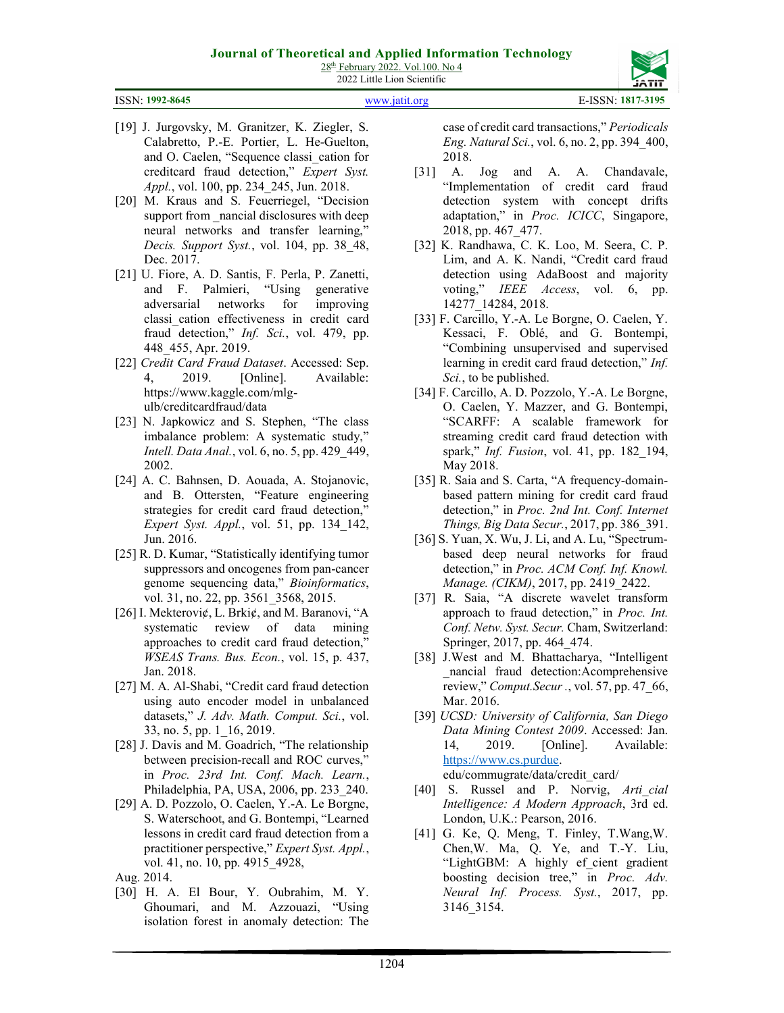ISSN: 1992-8645 www.jatit.org E-ISSN: 1817-3195

- [19] J. Jurgovsky, M. Granitzer, K. Ziegler, S. Calabretto, P.-E. Portier, L. He-Guelton, and O. Caelen, "Sequence classi\_cation for creditcard fraud detection," Expert Syst. Appl., vol. 100, pp. 234\_245, Jun. 2018.
- [20] M. Kraus and S. Feuerriegel, "Decision support from nancial disclosures with deep neural networks and transfer learning," Decis. Support Syst., vol. 104, pp. 38 48, Dec. 2017.
- [21] U. Fiore, A. D. Santis, F. Perla, P. Zanetti, and F. Palmieri, "Using generative adversarial networks for improving classi\_cation effectiveness in credit card fraud detection," *Inf. Sci.*, vol. 479, pp. 448\_455, Apr. 2019.
- [22] Credit Card Fraud Dataset. Accessed: Sep. 4, 2019. [Online]. Available: https://www.kaggle.com/mlgulb/creditcardfraud/data
- [23] N. Japkowicz and S. Stephen, "The class" imbalance problem: A systematic study," Intell. Data Anal., vol. 6, no. 5, pp. 429\_449, 2002.
- [24] A. C. Bahnsen, D. Aouada, A. Stojanovic, and B. Ottersten, "Feature engineering strategies for credit card fraud detection," Expert Syst. Appl., vol. 51, pp. 134\_142, Jun. 2016.
- [25] R. D. Kumar, "Statistically identifying tumor suppressors and oncogenes from pan-cancer genome sequencing data," Bioinformatics, vol. 31, no. 22, pp. 3561\_3568, 2015.
- [26] I. Mekterovi¢, L. Brki¢, and M. Baranovi, "A systematic review of data mining approaches to credit card fraud detection," WSEAS Trans. Bus. Econ., vol. 15, p. 437, Jan. 2018.
- [27] M. A. Al-Shabi, "Credit card fraud detection using auto encoder model in unbalanced datasets," J. Adv. Math. Comput. Sci., vol. 33, no. 5, pp. 1\_16, 2019.
- [28] J. Davis and M. Goadrich, "The relationship between precision-recall and ROC curves," in Proc. 23rd Int. Conf. Mach. Learn., Philadelphia, PA, USA, 2006, pp. 233\_240.
- [29] A. D. Pozzolo, O. Caelen, Y.-A. Le Borgne, S. Waterschoot, and G. Bontempi, "Learned lessons in credit card fraud detection from a practitioner perspective," Expert Syst. Appl., vol. 41, no. 10, pp. 4915\_4928,
- Aug. 2014.
- [30] H. A. El Bour, Y. Oubrahim, M. Y. Ghoumari, and M. Azzouazi, "Using isolation forest in anomaly detection: The

case of credit card transactions," Periodicals Eng. Natural Sci., vol. 6, no. 2, pp. 394\_400, 2018.

- [31] A. Jog and A. A. Chandavale, "Implementation of credit card fraud detection system with concept drifts adaptation," in Proc. ICICC, Singapore, 2018, pp. 467\_477.
- [32] K. Randhawa, C. K. Loo, M. Seera, C. P. Lim, and A. K. Nandi, "Credit card fraud detection using AdaBoost and majority voting," IEEE Access, vol. 6, pp. 14277\_14284, 2018.
- [33] F. Carcillo, Y.-A. Le Borgne, O. Caelen, Y. Kessaci, F. Oblé, and G. Bontempi, "Combining unsupervised and supervised learning in credit card fraud detection," Inf. Sci., to be published.
- [34] F. Carcillo, A. D. Pozzolo, Y.-A. Le Borgne, O. Caelen, Y. Mazzer, and G. Bontempi, "SCARFF: A scalable framework for streaming credit card fraud detection with spark," *Inf. Fusion*, vol. 41, pp. 182 194, May 2018.
- [35] R. Saia and S. Carta, "A frequency-domainbased pattern mining for credit card fraud detection," in Proc. 2nd Int. Conf. Internet Things, Big Data Secur., 2017, pp. 386\_391.
- [36] S. Yuan, X. Wu, J. Li, and A. Lu, "Spectrumbased deep neural networks for fraud detection," in Proc. ACM Conf. Inf. Knowl. Manage. (CIKM), 2017, pp. 2419 2422.
- [37] R. Saia, "A discrete wavelet transform approach to fraud detection," in Proc. Int. Conf. Netw. Syst. Secur. Cham, Switzerland: Springer, 2017, pp. 464\_474.
- [38] J.West and M. Bhattacharya, "Intelligent \_nancial fraud detection:Acomprehensive review," Comput.Secur ., vol. 57, pp. 47\_66, Mar. 2016.
- [39] UCSD: University of California, San Diego Data Mining Contest 2009. Accessed: Jan. 14, 2019. [Online]. Available: https://www.cs.purdue. edu/commugrate/data/credit\_card/

[40] S. Russel and P. Norvig, Arti cial

- Intelligence: A Modern Approach, 3rd ed. London, U.K.: Pearson, 2016.
- [41] G. Ke, Q. Meng, T. Finley, T. Wang, W. Chen,W. Ma, Q. Ye, and T.-Y. Liu, "LightGBM: A highly ef cient gradient boosting decision tree," in Proc. Adv. Neural Inf. Process. Syst., 2017, pp. 3146\_3154.